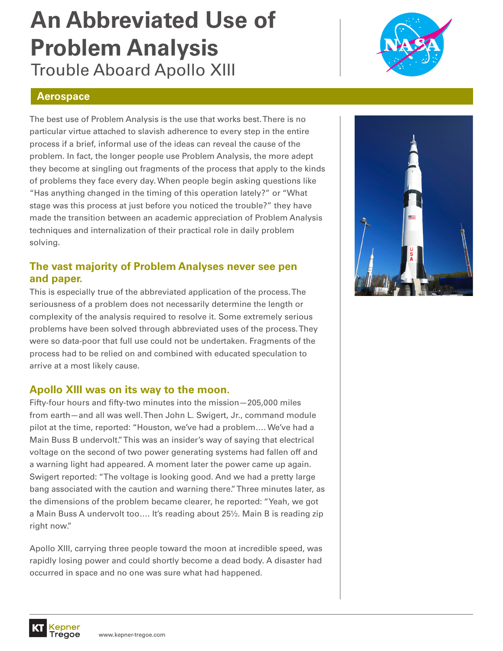# **An Abbreviated Use of Problem Analysis** Trouble Aboard Apollo XIII



#### **Aerospace**

The best use of Problem Analysis is the use that works best. There is no particular virtue attached to slavish adherence to every step in the entire process if a brief, informal use of the ideas can reveal the cause of the problem. In fact, the longer people use Problem Analysis, the more adept they become at singling out fragments of the process that apply to the kinds of problems they face every day. When people begin asking questions like "Has anything changed in the timing of this operation lately?" or "What stage was this process at just before you noticed the trouble?" they have made the transition between an academic appreciation of Problem Analysis techniques and internalization of their practical role in daily problem solving.

# **The vast majority of Problem Analyses never see pen and paper.**

This is especially true of the abbreviated application of the process. The seriousness of a problem does not necessarily determine the length or complexity of the analysis required to resolve it. Some extremely serious problems have been solved through abbreviated uses of the process. They were so data-poor that full use could not be undertaken. Fragments of the process had to be relied on and combined with educated speculation to arrive at a most likely cause.

# **Apollo XIII was on its way to the moon.**

Fifty-four hours and fifty-two minutes into the mission—205,000 miles from earth—and all was well. Then John L. Swigert, Jr., command module pilot at the time, reported: "Houston, we've had a problem…. We've had a Main Buss B undervolt." This was an insider's way of saying that electrical voltage on the second of two power generating systems had fallen off and a warning light had appeared. A moment later the power came up again. Swigert reported: "The voltage is looking good. And we had a pretty large bang associated with the caution and warning there." Three minutes later, as the dimensions of the problem became clearer, he reported: "Yeah, we got a Main Buss A undervolt too…. It's reading about 25½. Main B is reading zip right now."

Apollo XIII, carrying three people toward the moon at incredible speed, was rapidly losing power and could shortly become a dead body. A disaster had occurred in space and no one was sure what had happened.

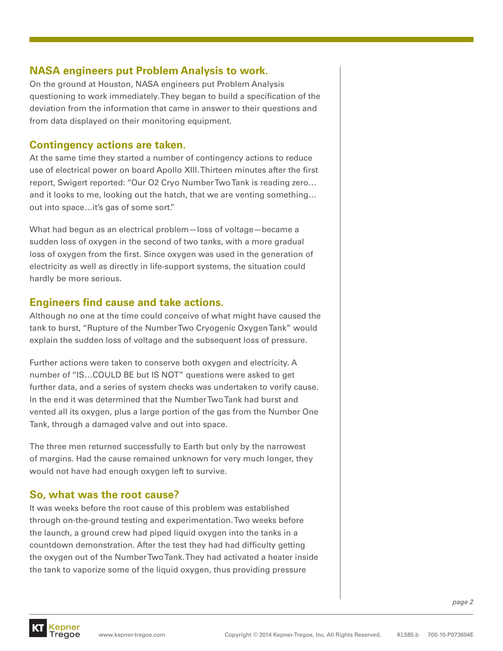## **NASA engineers put Problem Analysis to work.**

On the ground at Houston, NASA engineers put Problem Analysis questioning to work immediately. They began to build a specification of the deviation from the information that came in answer to their questions and from data displayed on their monitoring equipment.

#### **Contingency actions are taken.**

At the same time they started a number of contingency actions to reduce use of electrical power on board Apollo XIII. Thirteen minutes after the first report, Swigert reported: "Our O2 Cryo Number Two Tank is reading zero… and it looks to me, looking out the hatch, that we are venting something… out into space…it's gas of some sort."

What had begun as an electrical problem—loss of voltage—became a sudden loss of oxygen in the second of two tanks, with a more gradual loss of oxygen from the first. Since oxygen was used in the generation of electricity as well as directly in life-support systems, the situation could hardly be more serious.

# **Engineers find cause and take actions.**

Although no one at the time could conceive of what might have caused the tank to burst, "Rupture of the Number Two Cryogenic Oxygen Tank" would explain the sudden loss of voltage and the subsequent loss of pressure.

Further actions were taken to conserve both oxygen and electricity. A number of "IS…COULD BE but IS NOT" questions were asked to get further data, and a series of system checks was undertaken to verify cause. In the end it was determined that the Number Two Tank had burst and vented all its oxygen, plus a large portion of the gas from the Number One Tank, through a damaged valve and out into space.

The three men returned successfully to Earth but only by the narrowest of margins. Had the cause remained unknown for very much longer, they would not have had enough oxygen left to survive.

# **So, what was the root cause?**

It was weeks before the root cause of this problem was established through on-the-ground testing and experimentation. Two weeks before the launch, a ground crew had piped liquid oxygen into the tanks in a countdown demonstration. After the test they had had difficulty getting the oxygen out of the Number Two Tank. They had activated a heater inside the tank to vaporize some of the liquid oxygen, thus providing pressure

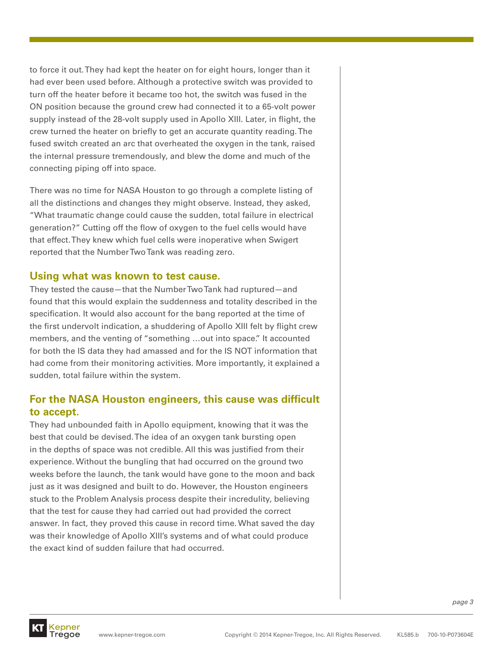to force it out. They had kept the heater on for eight hours, longer than it had ever been used before. Although a protective switch was provided to turn off the heater before it became too hot, the switch was fused in the ON position because the ground crew had connected it to a 65-volt power supply instead of the 28-volt supply used in Apollo XIII. Later, in flight, the crew turned the heater on briefly to get an accurate quantity reading. The fused switch created an arc that overheated the oxygen in the tank, raised the internal pressure tremendously, and blew the dome and much of the connecting piping off into space.

There was no time for NASA Houston to go through a complete listing of all the distinctions and changes they might observe. Instead, they asked, "What traumatic change could cause the sudden, total failure in electrical generation?" Cutting off the flow of oxygen to the fuel cells would have that effect. They knew which fuel cells were inoperative when Swigert reported that the Number Two Tank was reading zero.

#### **Using what was known to test cause.**

They tested the cause—that the Number Two Tank had ruptured—and found that this would explain the suddenness and totality described in the specification. It would also account for the bang reported at the time of the first undervolt indication, a shuddering of Apollo XIII felt by flight crew members, and the venting of "something …out into space." It accounted for both the IS data they had amassed and for the IS NOT information that had come from their monitoring activities. More importantly, it explained a sudden, total failure within the system.

## **For the NASA Houston engineers, this cause was difficult to accept.**

They had unbounded faith in Apollo equipment, knowing that it was the best that could be devised. The idea of an oxygen tank bursting open in the depths of space was not credible. All this was justified from their experience. Without the bungling that had occurred on the ground two weeks before the launch, the tank would have gone to the moon and back just as it was designed and built to do. However, the Houston engineers stuck to the Problem Analysis process despite their incredulity, believing that the test for cause they had carried out had provided the correct answer. In fact, they proved this cause in record time. What saved the day was their knowledge of Apollo XIII's systems and of what could produce the exact kind of sudden failure that had occurred.